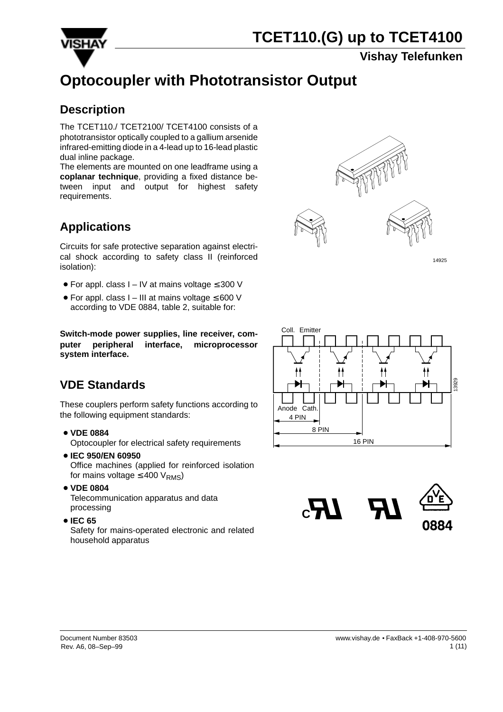

#### **Vishay Telefunken**

## **Optocoupler with Phototransistor Output**

#### **Description**

The TCET110./ TCET2100/ TCET4100 consists of a phototransistor optically coupled to a gallium arsenide infrared-emitting diode in a 4-lead up to 16-lead plastic dual inline package.

The elements are mounted on one leadframe using a **coplanar technique**, providing a fixed distance between input and output for highest safety requirements.

## **Applications**

Circuits for safe protective separation against electrical shock according to safety class II (reinforced isolation):

- For appl. class I IV at mains voltage ≤ 300 V
- For appl. class I III at mains voltage ≤ 600 V according to VDE 0884, table 2, suitable for:

**Switch-mode power supplies, line receiver, computer peripheral interface, microprocessor system interface.**

## **VDE Standards**

These couplers perform safety functions according to the following equipment standards:

**VDE 0884**

Optocoupler for electrical safety requirements

- **IEC 950/EN 60950** Office machines (applied for reinforced isolation for mains voltage  $\leq 400$  V<sub>RMS</sub>)
- **VDE 0804**

Telecommunication apparatus and data processing

**IEC 65**

Safety for mains-operated electronic and related household apparatus



14925



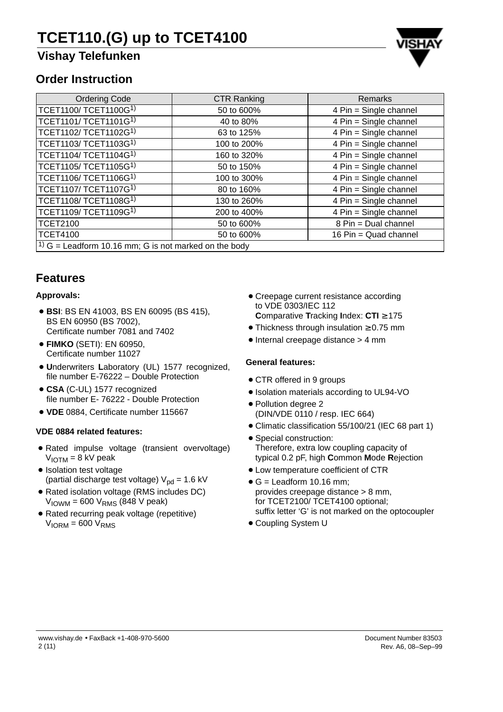## **Vishay Telefunken**



#### **Order Instruction**

| <b>Ordering Code</b>                                               | <b>CTR Ranking</b> | <b>Remarks</b>         |  |  |  |  |
|--------------------------------------------------------------------|--------------------|------------------------|--|--|--|--|
| TCET1100/TCET1100G1)                                               | 50 to 600%         | 4 Pin = Single channel |  |  |  |  |
| TCET1101/ TCET1101G <sup>1)</sup>                                  | 40 to 80%          | 4 Pin = Single channel |  |  |  |  |
| TCET1102/ TCET1102G <sup>1)</sup>                                  | 63 to 125%         | 4 Pin = Single channel |  |  |  |  |
| TCET1103/ TCET1103G <sup>1)</sup>                                  | 100 to 200%        | 4 Pin = Single channel |  |  |  |  |
| TCET1104/ TCET1104G <sup>1)</sup>                                  | 160 to 320%        | 4 Pin = Single channel |  |  |  |  |
| TCET1105/ TCET1105G <sup>1)</sup>                                  | 50 to 150%         | 4 Pin = Single channel |  |  |  |  |
| TCET1106/ TCET1106G <sup>1)</sup>                                  | 100 to 300%        | 4 Pin = Single channel |  |  |  |  |
| TCET1107/ TCET1107G <sup>1)</sup>                                  | 80 to 160%         | 4 Pin = Single channel |  |  |  |  |
| TCET1108/ TCET1108G <sup>1)</sup>                                  | 130 to 260%        | 4 Pin = Single channel |  |  |  |  |
| TCET1109/ TCET1109G <sup>1)</sup>                                  | 200 to 400%        | 4 Pin = Single channel |  |  |  |  |
| <b>TCET2100</b>                                                    | 50 to 600%         | 8 Pin = Dual channel   |  |  |  |  |
| <b>TCET4100</b>                                                    | 50 to 600%         | 16 Pin = Quad channel  |  |  |  |  |
| <sup>1)</sup> $G =$ Leadform 10.16 mm; G is not marked on the body |                    |                        |  |  |  |  |

#### **Features**

#### **Approvals:**

- **BSI**: BS EN 41003, BS EN 60095 (BS 415), BS EN 60950 (BS 7002), Certificate number 7081 and 7402
- **FIMKO** (SETI): EN 60950, Certificate number 11027
- **U**nderwriters **L**aboratory (UL) 1577 recognized, file number E-76222 – Double Protection
- **CSA** (C-UL) 1577 recognized file number E- 76222 - Double Protection
- **VDE** 0884, Certificate number 115667

#### **VDE 0884 related features:**

- Rated impulse voltage (transient overvoltage)  $V_{IOTM} = 8$  kV peak
- · Isolation test voltage (partial discharge test voltage)  $V_{pd} = 1.6$  kV
- Rated isolation voltage (RMS includes DC)  $V_{\text{IOWM}}$  = 600  $V_{\text{RMS}}$  (848 V peak)
- Rated recurring peak voltage (repetitive)  $V<sub>ION</sub> = 600 V<sub>RMS</sub>$
- **Creepage current resistance according** to VDE 0303/IEC 112 **C**omparative **T**racking **I**ndex: **CTI** ≥ 175
- Thickness through insulation ≥ 0.75 mm
- Internal creepage distance > 4 mm

#### **General features:**

- CTR offered in 9 groups
- Isolation materials according to UL94-VO
- Pollution degree 2 (DIN/VDE 0110 / resp. IEC 664)
- Climatic classification 55/100/21 (IEC 68 part 1)
- Special construction: Therefore, extra low coupling capacity of typical 0.2 pF, high **C**ommon **M**ode **R**ejection
- Low temperature coefficient of CTR
- $\bullet$  G = Leadform 10.16 mm; provides creepage distance > 8 mm, for TCET2100/ TCET4100 optional; suffix letter 'G' is not marked on the optocoupler
- Coupling System U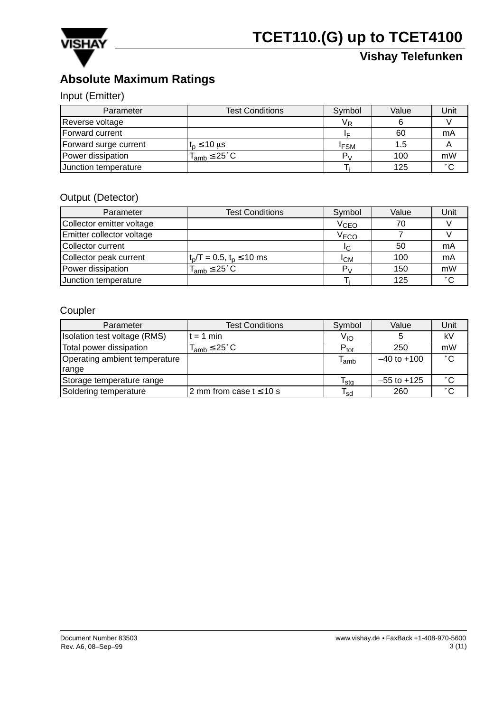

## **Absolute Maximum Ratings**

#### Input (Emitter)

| Parameter             | <b>Test Conditions</b>      | Symbol           | Value | Unit           |
|-----------------------|-----------------------------|------------------|-------|----------------|
| Reverse voltage       |                             | Vь               |       |                |
| Forward current       |                             | ΙF               | 60    | mA             |
| Forward surge current | $t_{\rm n} \leq 10$ µs      | <sup>I</sup> FSM | 1.5   |                |
| Power dissipation     | $T_{amb} \leq 25^{\circ}$ C | $P_{\rm M}$      | 100   | mW             |
| Junction temperature  |                             |                  | 125   | $\circ$ $\sim$ |

#### Output (Detector)

| Parameter                 | <b>Test Conditions</b>          | Symbol           | Value | Unit         |
|---------------------------|---------------------------------|------------------|-------|--------------|
| Collector emitter voltage |                                 | V <sub>CEO</sub> | 70    |              |
| Emitter collector voltage |                                 | V <sub>ECO</sub> |       |              |
| Collector current         |                                 | IΩ               | 50    | mA           |
| Collector peak current    | $t_p/T = 0.5$ , $t_p \le 10$ ms | Iсм              | 100   | mA           |
| Power dissipation         | $T_{amb} \leq 25^{\circ}$ C     | $P_{\rm M}$      | 150   | mW           |
| Junction temperature      |                                 |                  | 125   | $^{\circ}$ C |

#### Coupler

| Parameter                     | <b>Test Conditions</b>       | Symbol                      | Value           | Unit         |
|-------------------------------|------------------------------|-----------------------------|-----------------|--------------|
| Isolation test voltage (RMS)  | $t = 1$ min                  | V <sub>IO</sub>             |                 | kV           |
| Total power dissipation       | $T_{amb} \leq 25^{\circ}$ C  | $P_{\text{tot}}$            | 250             | mW           |
| Operating ambient temperature |                              | $\mathsf{T}_{\mathsf{amb}}$ | $-40$ to $+100$ | $^{\circ}$ C |
| range                         |                              |                             |                 |              |
| Storage temperature range     |                              | $\mathsf{T}_{\mathsf{stg}}$ | $-55$ to $+125$ | $^{\circ}$ C |
| Soldering temperature         | 2 mm from case $t \leq 10$ s | $\mathsf{T}_{\mathsf{sd}}$  | 260             | $^{\circ}$ C |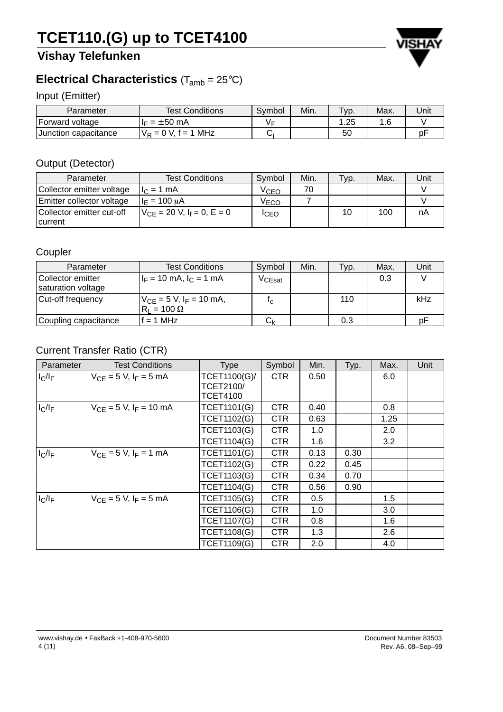## **Vishay Telefunken**



#### Input (Emitter)

| Parameter              | <b>Test Conditions</b>              | Symbol | Min. | Typ. | Max. | Unit |
|------------------------|-------------------------------------|--------|------|------|------|------|
| Forward voltage        | $= \pm 50$ mA                       |        |      | .25  | . 6  |      |
| I Junction capacitance | MHz<br>D V.<br>` = 1<br>$= 0$<br>VÞ |        |      | 50   |      | рŀ   |

#### Output (Detector)

| Parameter                            | <b>Test Conditions</b>          | Symbol           | Min. | Typ. | Max. | Unit |
|--------------------------------------|---------------------------------|------------------|------|------|------|------|
| Collector emitter voltage            | $11c = 1 mA$                    | V <sub>CEO</sub> | 70   |      |      |      |
| Emitter collector voltage            | $I_F = 100 \mu A$               | VECO             |      |      |      |      |
| Collector emitter cut-off<br>current | $V_{CF} = 20 V, I_f = 0, E = 0$ | ICEO             |      | 10   | 100  | nA   |

### Coupler

| Parameter                                 | <b>Test Conditions</b>                                        | Symbol      | Min. | Typ. | Max. | Unit |
|-------------------------------------------|---------------------------------------------------------------|-------------|------|------|------|------|
| l Collector emitter<br>saturation voltage | $I_F = 10$ mA, $I_C = 1$ mA                                   | $V_{CEsat}$ |      |      | 0.3  |      |
| Cut-off frequency                         | $V_{CF}$ = 5 V, I <sub>F</sub> = 10 mA,<br>$R_1 = 100 \Omega$ | I ص         |      | 110  |      | kHz  |
| Coupling capacitance                      | $f = 1$ MHz                                                   | رارا        |      | 0.3  |      | nŀ   |

### Current Transfer Ratio (CTR)

| Parameter | <b>Test Conditions</b>      | <b>Type</b>                      | Symbol     | Min. | Typ. | Max.             | Unit |
|-----------|-----------------------------|----------------------------------|------------|------|------|------------------|------|
| $I_C/I_F$ | $V_{CF} = 5 V, I_F = 5 mA$  | TCET1100(G)/<br><b>TCET2100/</b> | <b>CTR</b> | 0.50 |      | 6.0              |      |
|           |                             | <b>TCET4100</b>                  |            |      |      |                  |      |
| $I_C/I_F$ | $V_{CF} = 5 V, I_F = 10 mA$ | <b>TCET1101(G)</b>               | CTR        | 0.40 |      | 0.8              |      |
|           |                             | <b>TCET1102(G)</b>               | <b>CTR</b> | 0.63 |      | 1.25             |      |
|           |                             | <b>TCET1103(G)</b>               | CTR.       | 1.0  |      | 2.0              |      |
|           |                             | <b>TCET1104(G)</b>               | <b>CTR</b> | 1.6  |      | 3.2              |      |
| $I_C/I_F$ | $V_{CF} = 5 V, I_F = 1 mA$  | <b>TCET1101(G)</b>               | <b>CTR</b> | 0.13 | 0.30 |                  |      |
|           |                             | <b>TCET1102(G)</b>               | <b>CTR</b> | 0.22 | 0.45 |                  |      |
|           |                             | <b>TCET1103(G)</b>               | CTR        | 0.34 | 0.70 |                  |      |
|           |                             | <b>TCET1104(G)</b>               | <b>CTR</b> | 0.56 | 0.90 |                  |      |
| $I_C/I_F$ | $V_{CF} = 5 V, I_F = 5 mA$  | <b>TCET1105(G)</b>               | CTR        | 0.5  |      | $1.5^{\circ}$    |      |
|           |                             | <b>TCET1106(G)</b>               | <b>CTR</b> | 1.0  |      | 3.0 <sub>2</sub> |      |
|           |                             | <b>TCET1107(G)</b>               | CTR.       | 0.8  |      | 1.6              |      |
|           |                             | <b>TCET1108(G)</b>               | <b>CTR</b> | 1.3  |      | 2.6              |      |
|           |                             | <b>TCET1109(G)</b>               | <b>CTR</b> | 2.0  |      | 4.0              |      |

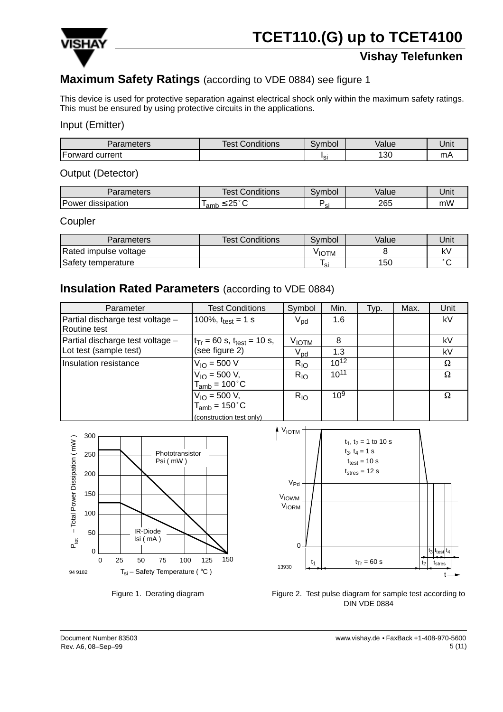

## **Maximum Safety Ratings** (according to VDE 0884) see figure 1

This device is used for protective separation against electrical shock only within the maximum safety ratings. This must be ensured by using protective circuits in the applications.

#### Input (Emitter)

| arameters'              | $1.7 - 1.7$<br>Test ∖<br>Conditions | $\overline{\phantom{0}}$<br>ivmbol | Value     | Unit    |
|-------------------------|-------------------------------------|------------------------------------|-----------|---------|
| -<br>current<br>Forward |                                     | ופו<br>ີ                           | חרי<br>ుఁ | m<br>பட |

#### Output (Detector)

| Parameters        | <b>Test Conditions</b>   | Symbol | Value | Unit |
|-------------------|--------------------------|--------|-------|------|
| Power dissipation | ດ⊳°ຕ<br>'amb<br>້<br>$-$ |        | 265   | mW   |

#### Coupler

| <b>Parameters</b>     | <b>Test Conditions</b> | Symbol            | Value | Unit   |
|-----------------------|------------------------|-------------------|-------|--------|
| Rated impulse voltage |                        | <sup>V</sup> IOTM |       | い      |
| Safety temperature    |                        | ہ ا               | 150   | $\sim$ |

#### **Insulation Rated Parameters** (according to VDE 0884)

| Parameter                                        | <b>Test Conditions</b>                            | Symbol            | Min.      | Typ. | Max. | Unit |
|--------------------------------------------------|---------------------------------------------------|-------------------|-----------|------|------|------|
| Partial discharge test voltage -<br>Routine test | 100%, $t_{test} = 1$ s                            | $V_{\text{pd}}$   | 1.6       |      |      | kV   |
| Partial discharge test voltage -                 | $t_{Tr}$ = 60 s, $t_{test}$ = 10 s,               | V <sub>IОТМ</sub> | 8         |      |      | kV   |
| Lot test (sample test)                           | (see figure 2)                                    | $\rm V_{pd}$      | 1.3       |      |      | kV   |
| Insulation resistance                            | $V_{IO} = 500 V$                                  | $R_{IO}$          | $10^{12}$ |      |      | Ω    |
|                                                  | $V_{IO} = 500 V,$<br>$T_{amb}$ = 100 $^{\circ}$ C | $R_{IO}$          | $10^{11}$ |      |      | Ω    |
|                                                  | $V_{IO} = 500 V,$                                 | $R_{IO}$          | $10^{9}$  |      |      | Ω    |
|                                                  | $T_{amb}$ = 150 $^{\circ}$ C                      |                   |           |      |      |      |
|                                                  | (construction test only)                          |                   |           |      |      |      |







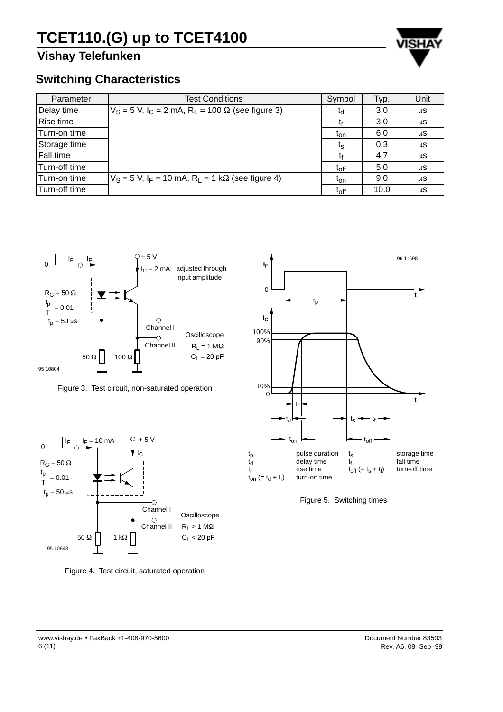## **Vishay Telefunken**



### **Switching Characteristics**

| Parameter     | <b>Test Conditions</b>                                                  | Symbol                 | Typ. | Unit |
|---------------|-------------------------------------------------------------------------|------------------------|------|------|
| Delay time    | $V_S = 5$ V, $I_C = 2$ mA, R <sub>L</sub> = 100 $\Omega$ (see figure 3) | $t_{\rm d}$            | 3.0  | μS   |
| Rise time     |                                                                         |                        | 3.0  | μS   |
| Turn-on time  |                                                                         | $I_{\text{on}}$        | 6.0  | μS   |
| Storage time  |                                                                         | $\mathfrak{r}_{\rm s}$ | 0.3  | μS   |
| Fall time     |                                                                         |                        | 4.7  | μS   |
| Turn-off time |                                                                         | $t_{off}$              | 5.0  | μS   |
| Turn-on time  | $V_S = 5$ V, $I_F = 10$ mA, $R_1 = 1$ k $\Omega$ (see figure 4)         | $t_{on}$               | 9.0  | μS   |
| Turn-off time |                                                                         | $t_{off}$              | 10.0 | μS   |



Figure 3. Test circuit, non-saturated operation



Figure 4. Test circuit, saturated operation



Figure 5. Switching times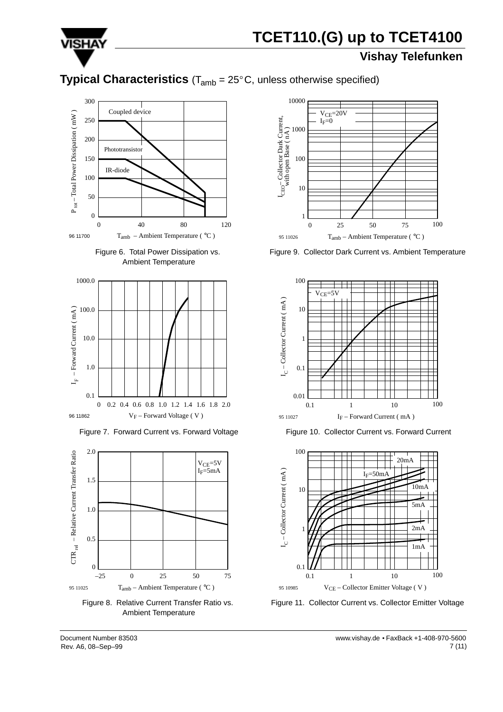

## **Vishay Telefunken**

## **Typical Characteristics** (T<sub>amb</sub> = 25°C, unless otherwise specified)







Figure 7. Forward Current vs. Forward Voltage



Figure 8. Relative Current Transfer Ratio vs. Ambient Temperature



Figure 9. Collector Dark Current vs. Ambient Temperature



Figure 10. Collector Current vs. Forward Current



Figure 11. Collector Current vs. Collector Emitter Voltage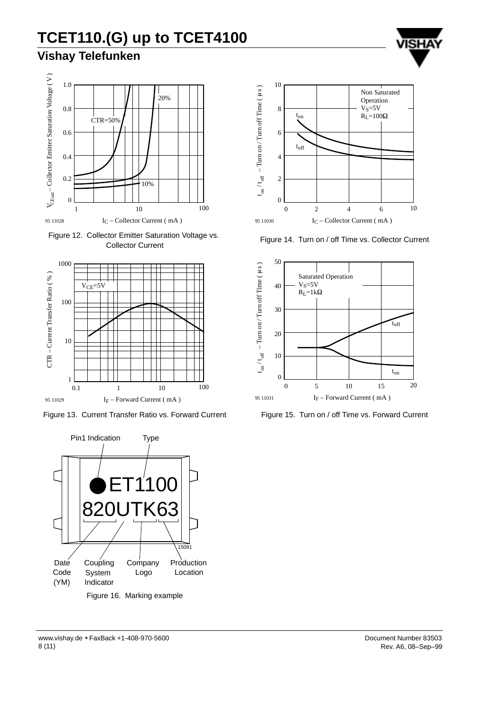## **Vishay Telefunken**



Figure 12. Collector Emitter Saturation Voltage vs. Collector Current



Figure 13. Current Transfer Ratio vs. Forward Current



Figure 16. Marking example



Figure 14. Turn on / off Time vs. Collector Current



Figure 15. Turn on / off Time vs. Forward Current

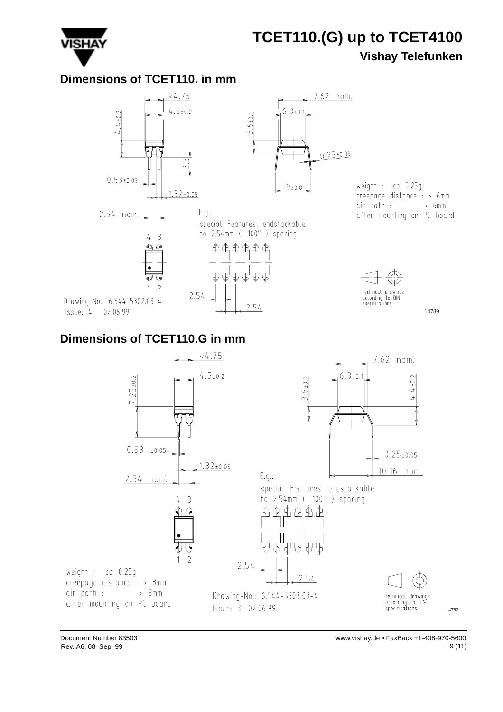

### **Vishay Telefunken**

#### **Dimensions of TCET110. in mm**



### **Dimensions of TCET110.G in mm**

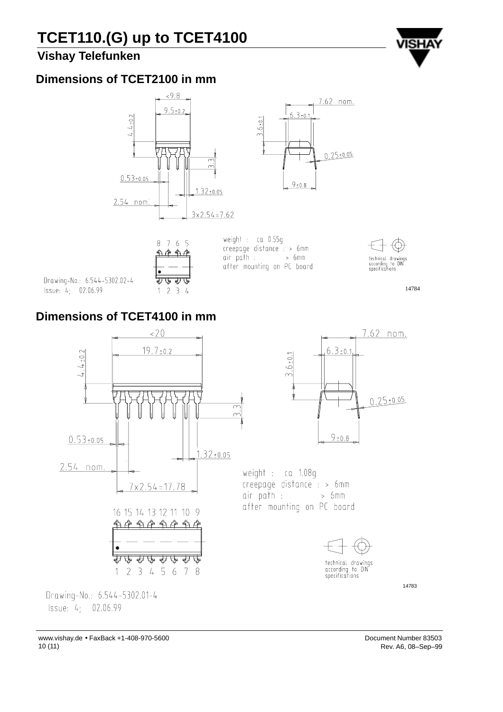





weight: ca 0.55g  $creepape distance : > 6mm$  $air$   $path$   $\cdot$  $> 6 \text{mm}$ after mounting on PC board



14784

### **Dimensions of TCET4100 in mm**

Drawing-No.: 6.544-5302.02-4

Issue: 4; 02.06.99



www.vishay.de • FaxBack +1-408-970-5600 10 (11)

Issue: 4; 02.06.99

Document Number 83503 Rev. A6, 08–Sep–99